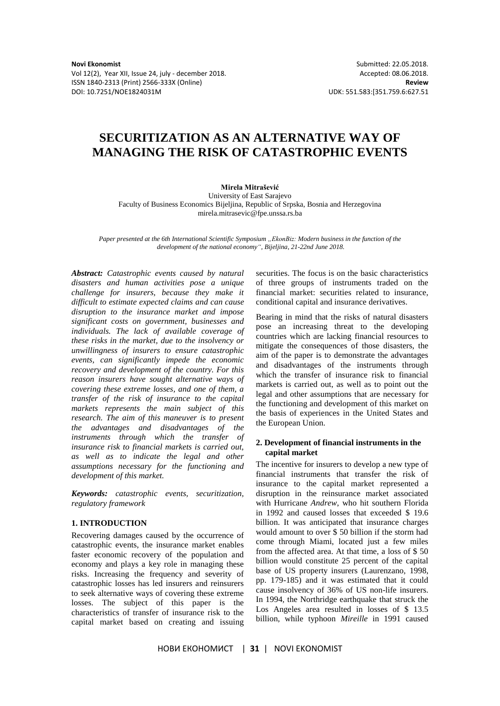Vol 12(2), Year XII, Issue 24, july - december 2018. Accepted: 08.06.2018. ISSN 1840-2313 (Print) 2566-333X (Online) **Review** DOI: 10.7251/NOE1824031M UDK: 551.583:[351.759.6:627.51

# **SECURITIZATION AS AN ALTERNATIVE WAY OF MANAGING THE RISK OF CATASTROPHIC EVENTS**

## **Mirela Mitrašević**

University of East Sarajevo Faculty of Business Economics Bijeljina, Republic of Srpska, Bosnia and Herzegovina mirela.mitrasevic@fpe.unssa.rs.ba

*Paper presented at the 6th International Scientific Symposium "EkonBiz: Modern business in the function of the development of the national economy", Bijeljina, 21-22nd June 2018.*

*Abstract: Catastrophic events caused by natural disasters and human activities pose a unique challenge for insurers, because they make it difficult to estimate expected claims and can cause disruption to the insurance market and impose significant costs on government, businesses and individuals. The lack of available coverage of these risks in the market, due to the insolvency or unwillingness of insurers to ensure catastrophic events, can significantly impede the economic recovery and development of the country. For this reason insurers have sought alternative ways of covering these extreme losses, and one of them, a transfer of the risk of insurance to the capital markets represents the main subject of this research. The aim of this maneuver is to present the advantages and disadvantages of the instruments through which the transfer of insurance risk to financial markets is carried out, as well as to indicate the legal and other assumptions necessary for the functioning and development of this market.*

*Keywords: catastrophic events, securitization, regulatory framework*

## **1. INTRODUCTION**

Recovering damages caused by the occurrence of catastrophic events, the insurance market enables faster economic recovery of the population and economy and plays a key role in managing these risks. Increasing the frequency and severity of catastrophic losses has led insurers and reinsurers to seek alternative ways of covering these extreme losses. The subject of this paper is the characteristics of transfer of insurance risk to the capital market based on creating and issuing

securities. The focus is on the basic characteristics of three groups of instruments traded on the financial market: securities related to insurance, conditional capital and insurance derivatives.

Bearing in mind that the risks of natural disasters pose an increasing threat to the developing countries which are lacking financial resources to mitigate the consequences of those disasters, the aim of the paper is to demonstrate the advantages and disadvantages of the instruments through which the transfer of insurance risk to financial markets is carried out, as well as to point out the legal and other assumptions that are necessary for the functioning and development of this market on the basis of experiences in the United States and the European Union.

#### **2. Development of financial instruments in the capital market**

The incentive for insurers to develop a new type of financial instruments that transfer the risk of insurance to the capital market represented a disruption in the reinsurance market associated with Hurricane *Andrew*, who hit southern Florida in 1992 and caused losses that exceeded \$ 19.6 billion. It was anticipated that insurance charges would amount to over \$ 50 billion if the storm had come through Miami, located just a few miles from the affected area. At that time, a loss of \$ 50 billion would constitute 25 percent of the capital base of US property insurers (Laurenzano, 1998, pp. 179-185) and it was estimated that it could cause insolvency of 36% of US non-life insurers. In 1994, the Northridge earthquake that struck the Los Angeles area resulted in losses of \$ 13.5 billion, while typhoon *Mireille* in 1991 caused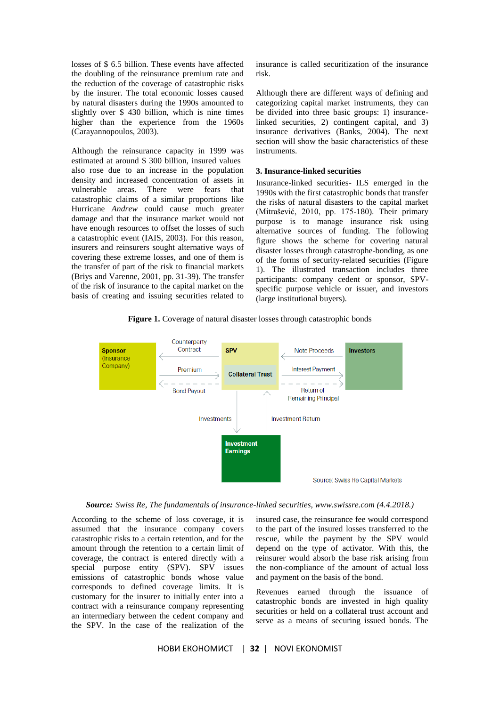losses of \$ 6.5 billion. These events have affected the doubling of the reinsurance premium rate and the reduction of the coverage of catastrophic risks by the insurer. The total economic losses caused by natural disasters during the 1990s amounted to slightly over \$ 430 billion, which is nine times higher than the experience from the 1960s (Carayannopoulos, 2003).

Although the reinsurance capacity in 1999 was estimated at around \$ 300 billion, insured values also rose due to an increase in the population density and increased concentration of assets in vulnerable areas. There were fears that catastrophic claims of a similar proportions like Hurricane *Andrew* could cause much greater damage and that the insurance market would not have enough resources to offset the losses of such a catastrophic event (IAIS, 2003). For this reason, insurers and reinsurers sought alternative ways of covering these extreme losses, and one of them is the transfer of part of the risk to financial markets (Briys and Varenne, 2001, pp. 31-39). The transfer of the risk of insurance to the capital market on the basis of creating and issuing securities related to

insurance is called securitization of the insurance risk.

Although there are different ways of defining and categorizing capital market instruments, they can be divided into three basic groups: 1) insurancelinked securities, 2) contingent capital, and 3) insurance derivatives (Banks, 2004). The next section will show the basic characteristics of these instruments.

#### **3. Insurance-linked securities**

Insurance-linked securities- ILS emerged in the 1990s with the first catastrophic bonds that transfer the risks of natural disasters to the capital market (Mitrašević, 2010, pp. 175-180). Their primary purpose is to manage insurance risk using alternative sources of funding. The following figure shows the scheme for covering natural disaster losses through catastrophe-bonding, as one of the forms of security-related securities (Figure 1). The illustrated transaction includes three participants: company cedent or sponsor, SPVspecific purpose vehicle or issuer, and investors (large institutional buyers).

Figure 1. Coverage of natural disaster losses through catastrophic bonds



*Source: Swiss Re, The fundamentals of insurance-linked securities, www.swissre.com (4.4.2018.)*

According to the scheme of loss coverage, it is assumed that the insurance company covers catastrophic risks to a certain retention, and for the amount through the retention to a certain limit of coverage, the contract is entered directly with a special purpose entity (SPV). SPV issues emissions of catastrophic bonds whose value corresponds to defined coverage limits. It is customary for the insurer to initially enter into a contract with a reinsurance company representing an intermediary between the cedent company and the SPV. In the case of the realization of the

insured case, the reinsurance fee would correspond to the part of the insured losses transferred to the rescue, while the payment by the SPV would depend on the type of activator. With this, the reinsurer would absorb the base risk arising from the non-compliance of the amount of actual loss and payment on the basis of the bond.

Revenues earned through the issuance of catastrophic bonds are invested in high quality securities or held on a collateral trust account and serve as a means of securing issued bonds. The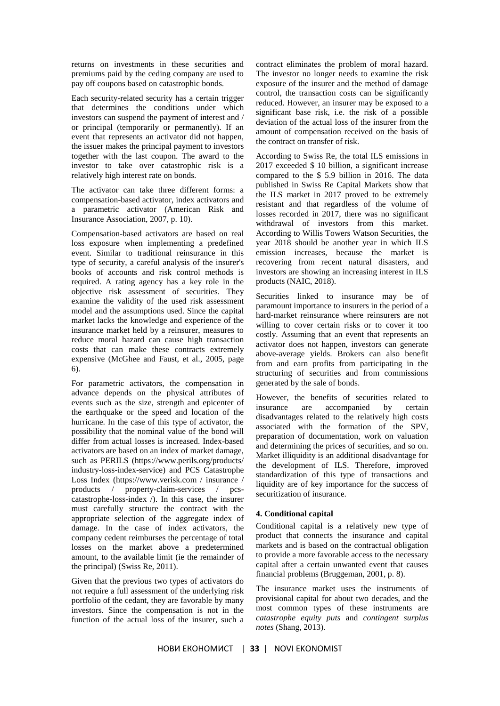returns on investments in these securities and premiums paid by the ceding company are used to pay off coupons based on catastrophic bonds.

Each security-related security has a certain trigger that determines the conditions under which investors can suspend the payment of interest and / or principal (temporarily or permanently). If an event that represents an activator did not happen, the issuer makes the principal payment to investors together with the last coupon. The award to the investor to take over catastrophic risk is a relatively high interest rate on bonds.

The activator can take three different forms: a compensation-based activator, index activators and a parametric activator (American Risk and Insurance Association, 2007, p. 10).

Compensation-based activators are based on real loss exposure when implementing a predefined event. Similar to traditional reinsurance in this type of security, a careful analysis of the insurer's books of accounts and risk control methods is required. A rating agency has a key role in the objective risk assessment of securities. They examine the validity of the used risk assessment model and the assumptions used. Since the capital market lacks the knowledge and experience of the insurance market held by a reinsurer, measures to reduce moral hazard can cause high transaction costs that can make these contracts extremely expensive (McGhee and Faust, et al., 2005, page 6).

For parametric activators, the compensation in advance depends on the physical attributes of events such as the size, strength and epicenter of the earthquake or the speed and location of the hurricane. In the case of this type of activator, the possibility that the nominal value of the bond will differ from actual losses is increased. Index-based activators are based on an index of market damage, such as PERILS (https://www.perils.org/products/ industry-loss-index-service) and PCS Catastrophe Loss Index (https://www.verisk.com / insurance / products / property-claim-services / pcscatastrophe-loss-index /). In this case, the insurer must carefully structure the contract with the appropriate selection of the aggregate index of damage. In the case of index activators, the company cedent reimburses the percentage of total losses on the market above a predetermined amount, to the available limit (ie the remainder of the principal) (Swiss Re, 2011).

Given that the previous two types of activators do not require a full assessment of the underlying risk portfolio of the cedant, they are favorable by many investors. Since the compensation is not in the function of the actual loss of the insurer, such a

contract eliminates the problem of moral hazard. The investor no longer needs to examine the risk exposure of the insurer and the method of damage control, the transaction costs can be significantly reduced. However, an insurer may be exposed to a significant base risk, i.e. the risk of a possible deviation of the actual loss of the insurer from the amount of compensation received on the basis of the contract on transfer of risk.

According to Swiss Re, the total ILS emissions in 2017 exceeded \$ 10 billion, a significant increase compared to the \$ 5.9 billion in 2016. The data published in Swiss Re Capital Markets show that the ILS market in 2017 proved to be extremely resistant and that regardless of the volume of losses recorded in 2017, there was no significant withdrawal of investors from this market. According to Willis Towers Watson Securities, the year 2018 should be another year in which ILS emission increases, because the market is recovering from recent natural disasters, and investors are showing an increasing interest in ILS products (NAIC, 2018).

Securities linked to insurance may be of paramount importance to insurers in the period of a hard-market reinsurance where reinsurers are not willing to cover certain risks or to cover it too costly. Assuming that an event that represents an activator does not happen, investors can generate above-average yields. Brokers can also benefit from and earn profits from participating in the structuring of securities and from commissions generated by the sale of bonds.

However, the benefits of securities related to insurance are accompanied by certain disadvantages related to the relatively high costs associated with the formation of the SPV, preparation of documentation, work on valuation and determining the prices of securities, and so on. Market illiquidity is an additional disadvantage for the development of ILS. Therefore, improved standardization of this type of transactions and liquidity are of key importance for the success of securitization of insurance.

#### **4. Conditional capital**

Conditional capital is a relatively new type of product that connects the insurance and capital markets and is based on the contractual obligation to provide a more favorable access to the necessary capital after a certain unwanted event that causes financial problems (Bruggeman, 2001, p. 8).

The insurance market uses the instruments of provisional capital for about two decades, and the most common types of these instruments are *catastrophe equity puts* and *contingent surplus notes* (Shang, 2013).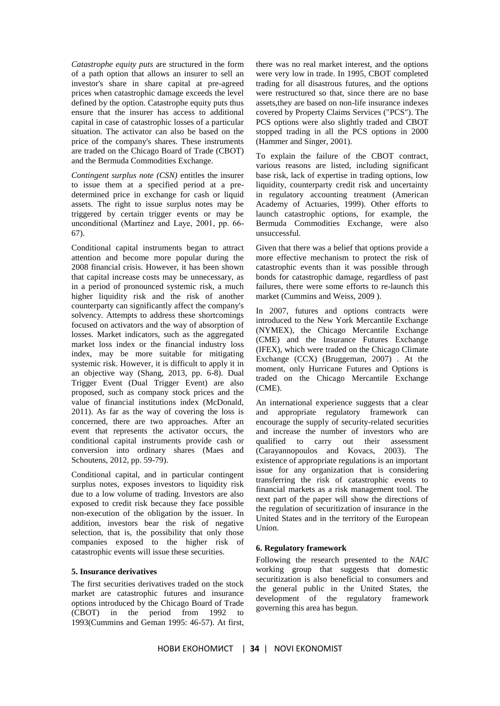*Catastrophe equity puts* are structured in the form of a path option that allows an insurer to sell an investor's share in share capital at pre-agreed prices when catastrophic damage exceeds the level defined by the option. Catastrophe equity puts thus ensure that the insurer has access to additional capital in case of catastrophic losses of a particular situation. The activator can also be based on the price of the company's shares. These instruments are traded on the Chicago Board of Trade (CBOT) and the Bermuda Commodities Exchange.

*Contingent surplus note (CSN)* entitles the insurer to issue them at a specified period at a predetermined price in exchange for cash or liquid assets. The right to issue surplus notes may be triggered by certain trigger events or may be unconditional (Martínez and Laye, 2001, pp. 66- 67).

Conditional capital instruments began to attract attention and become more popular during the 2008 financial crisis. However, it has been shown that capital increase costs may be unnecessary, as in a period of pronounced systemic risk, a much higher liquidity risk and the risk of another counterparty can significantly affect the company's solvency. Attempts to address these shortcomings focused on activators and the way of absorption of losses. Market indicators, such as the aggregated market loss index or the financial industry loss index, may be more suitable for mitigating systemic risk. However, it is difficult to apply it in an objective way (Shang, 2013, pp. 6-8). Dual Trigger Event (Dual Trigger Event) are also proposed, such as company stock prices and the value of financial institutions index (McDonald, 2011). As far as the way of covering the loss is concerned, there are two approaches. After an event that represents the activator occurs, the conditional capital instruments provide cash or conversion into ordinary shares (Maes and Schoutens, 2012, pp. 59-79).

Conditional capital, and in particular contingent surplus notes, exposes investors to liquidity risk due to a low volume of trading. Investors are also exposed to credit risk because they face possible non-execution of the obligation by the issuer. In addition, investors bear the risk of negative selection, that is, the possibility that only those companies exposed to the higher risk of catastrophic events will issue these securities.

## **5. Insurance derivatives**

The first securities derivatives traded on the stock market are catastrophic futures and insurance options introduced by the Chicago Board of Trade (CBOT) in the period from 1992 to 1993(Cummins and Geman 1995: 46-57). At first, there was no real market interest, and the options were very low in trade. In 1995, CBOT completed trading for all disastrous futures, and the options were restructured so that, since there are no base assets,they are based on non-life insurance indexes covered by Property Claims Services ("PCS"). The PCS options were also slightly traded and CBOT stopped trading in all the PCS options in 2000 (Hammer and Singer, 2001).

To explain the failure of the CBOT contract, various reasons are listed, including significant base risk, lack of expertise in trading options, low liquidity, counterparty credit risk and uncertainty in regulatory accounting treatment (American Academy of Actuaries, 1999). Other efforts to launch catastrophic options, for example, the Bermuda Commodities Exchange, were also unsuccessful.

Given that there was a belief that options provide a more effective mechanism to protect the risk of catastrophic events than it was possible through bonds for catastrophic damage, regardless of past failures, there were some efforts to re-launch this market (Cummins and Weiss, 2009 ).

In 2007, futures and options contracts were introduced to the New York Mercantile Exchange (NYMEX), the Chicago Mercantile Exchange (CME) and the Insurance Futures Exchange (IFEX), which were traded on the Chicago Climate Exchange (CCX) (Bruggeman, 2007) . At the moment, only Hurricane Futures and Options is traded on the Chicago Mercantile Exchange (CME).

An international experience suggests that a clear and appropriate regulatory framework can encourage the supply of security-related securities and increase the number of investors who are qualified to carry out their assessment (Carayannopoulos and Kovacs, 2003). The existence of appropriate regulations is an important issue for any organization that is considering transferring the risk of catastrophic events to financial markets as a risk management tool. The next part of the paper will show the directions of the regulation of securitization of insurance in the United States and in the territory of the European Union.

#### **6. Regulatory framework**

Following the research presented to the *NAIC* working group that suggests that domestic securitization is also beneficial to consumers and the general public in the United States, the development of the regulatory framework governing this area has begun.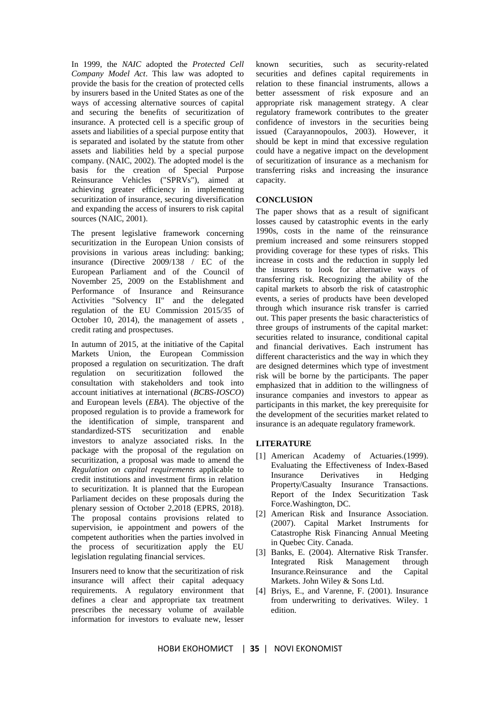In 1999, the *NAIC* adopted the *Protected Cell Company Model Act*. This law was adopted to provide the basis for the creation of protected cells by insurers based in the United States as one of the ways of accessing alternative sources of capital and securing the benefits of securitization of insurance. A protected cell is a specific group of assets and liabilities of a special purpose entity that is separated and isolated by the statute from other assets and liabilities held by a special purpose company. (NAIC, 2002). The adopted model is the basis for the creation of Special Purpose Reinsurance Vehicles ("SPRVs"), aimed at achieving greater efficiency in implementing securitization of insurance, securing diversification and expanding the access of insurers to risk capital sources (NAIC, 2001).

The present legislative framework concerning securitization in the European Union consists of provisions in various areas including: banking; insurance (Directive 2009/138 / EC of the European Parliament and of the Council of November 25, 2009 on the Establishment and Performance of Insurance and Reinsurance Activities "Solvency II" and the delegated regulation of the EU Commission 2015/35 of October 10, 2014), the management of assets , credit rating and prospectuses.

In autumn of 2015, at the initiative of the Capital Markets Union, the European Commission proposed a regulation on securitization. The draft regulation on securitization followed the consultation with stakeholders and took into account initiatives at international (*BCBS-IOSCO*) and European levels (*EBA*). The objective of the proposed regulation is to provide a framework for the identification of simple, transparent and standardized-STS securitization and enable investors to analyze associated risks. In the package with the proposal of the regulation on securitization, a proposal was made to amend the *Regulation on capital requirements* applicable to credit institutions and investment firms in relation to securitization. It is planned that the European Parliament decides on these proposals during the plenary session of October 2,2018 (EPRS, 2018). The proposal contains provisions related to supervision, ie appointment and powers of the competent authorities when the parties involved in the process of securitization apply the EU legislation regulating financial services.

Insurers need to know that the securitization of risk insurance will affect their capital adequacy requirements. A regulatory environment that defines a clear and appropriate tax treatment prescribes the necessary volume of available information for investors to evaluate new, lesser

known securities, such as security-related securities and defines capital requirements in relation to these financial instruments, allows a better assessment of risk exposure and an appropriate risk management strategy. A clear regulatory framework contributes to the greater confidence of investors in the securities being issued (Carayannopoulos, 2003). However, it should be kept in mind that excessive regulation could have a negative impact on the development of securitization of insurance as a mechanism for transferring risks and increasing the insurance capacity.

# **CONCLUSION**

The paper shows that as a result of significant losses caused by catastrophic events in the early 1990s, costs in the name of the reinsurance premium increased and some reinsurers stopped providing coverage for these types of risks. This increase in costs and the reduction in supply led the insurers to look for alternative ways of transferring risk. Recognizing the ability of the capital markets to absorb the risk of catastrophic events, a series of products have been developed through which insurance risk transfer is carried out. This paper presents the basic characteristics of three groups of instruments of the capital market: securities related to insurance, conditional capital and financial derivatives. Each instrument has different characteristics and the way in which they are designed determines which type of investment risk will be borne by the participants. The paper emphasized that in addition to the willingness of insurance companies and investors to appear as participants in this market, the key prerequisite for the development of the securities market related to insurance is an adequate regulatory framework.

## **LITERATURE**

- [1] American Academy of Actuaries.(1999). Evaluating the Effectiveness of Index-Based Insurance Derivatives in Hedging Property/Casualty Insurance Transactions. Report of the Index Securitization Task Force.Washington, DC.
- [2] American Risk and Insurance Association. (2007). Capital Market Instruments for Catastrophe Risk Financing Annual Meeting in Quebec City. Canada.
- [3] Banks, E. (2004). Alternative Risk Transfer. Integrated Risk Management through Insurance.Reinsurance and the Capital Markets. John Wiley & Sons Ltd.
- [4] Briys, E., and Varenne, F. (2001). Insurance from underwriting to derivatives. Wiley. 1 edition.